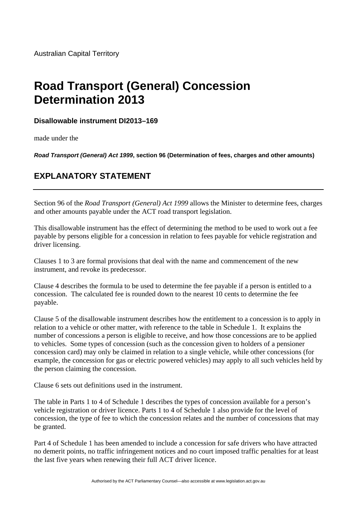## **Road Transport (General) Concession Determination 2013**

## **Disallowable instrument DI2013–169**

made under the

*Road Transport (General) Act 1999***, section 96 (Determination of fees, charges and other amounts)** 

## **EXPLANATORY STATEMENT**

Section 96 of the *Road Transport (General) Act 1999* allows the Minister to determine fees, charges and other amounts payable under the ACT road transport legislation.

This disallowable instrument has the effect of determining the method to be used to work out a fee payable by persons eligible for a concession in relation to fees payable for vehicle registration and driver licensing.

Clauses 1 to 3 are formal provisions that deal with the name and commencement of the new instrument, and revoke its predecessor.

Clause 4 describes the formula to be used to determine the fee payable if a person is entitled to a concession. The calculated fee is rounded down to the nearest 10 cents to determine the fee payable.

Clause 5 of the disallowable instrument describes how the entitlement to a concession is to apply in relation to a vehicle or other matter, with reference to the table in Schedule 1. It explains the number of concessions a person is eligible to receive, and how those concessions are to be applied to vehicles. Some types of concession (such as the concession given to holders of a pensioner concession card) may only be claimed in relation to a single vehicle, while other concessions (for example, the concession for gas or electric powered vehicles) may apply to all such vehicles held by the person claiming the concession.

Clause 6 sets out definitions used in the instrument.

The table in Parts 1 to 4 of Schedule 1 describes the types of concession available for a person's vehicle registration or driver licence. Parts 1 to 4 of Schedule 1 also provide for the level of concession, the type of fee to which the concession relates and the number of concessions that may be granted.

Part 4 of Schedule 1 has been amended to include a concession for safe drivers who have attracted no demerit points, no traffic infringement notices and no court imposed traffic penalties for at least the last five years when renewing their full ACT driver licence.